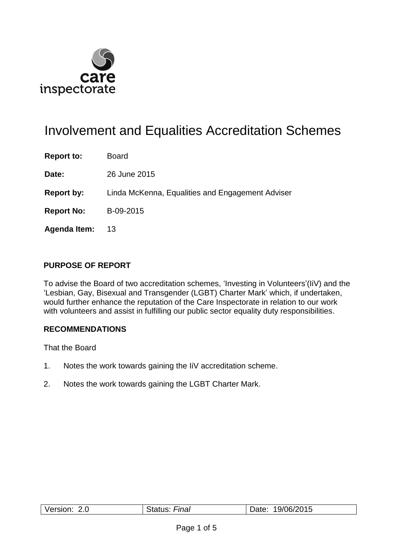

# Involvement and Equalities Accreditation Schemes

**Report to:** Board

**Date:** 26 June 2015

**Report by:** Linda McKenna, Equalities and Engagement Adviser

**Report No:** B-09-2015

**Agenda Item:** 13

#### **PURPOSE OF REPORT**

To advise the Board of two accreditation schemes, 'Investing in Volunteers'(IiV) and the 'Lesbian, Gay, Bisexual and Transgender (LGBT) Charter Mark' which, if undertaken, would further enhance the reputation of the Care Inspectorate in relation to our work with volunteers and assist in fulfilling our public sector equality duty responsibilities.

#### **RECOMMENDATIONS**

That the Board

- 1. Notes the work towards gaining the IiV accreditation scheme.
- 2. Notes the work towards gaining the LGBT Charter Mark.

| റ റ      | Final   | 19/06/2015 |
|----------|---------|------------|
| Version: | Status: | Date:      |
|          |         |            |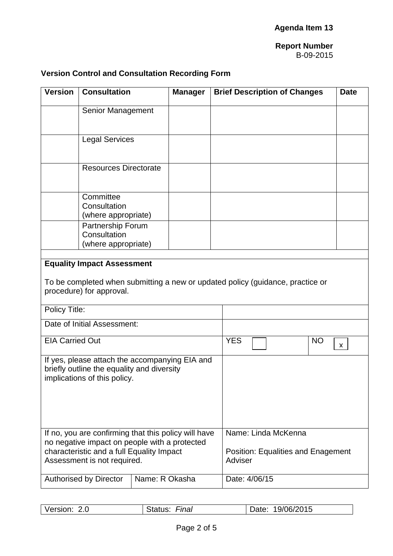## **Version Control and Consultation Recording Form**

| <b>Version</b>                                                                                                                                                                    | <b>Consultation</b>                                                                                                 |                | <b>Manager</b>                                                              |               | <b>Brief Description of Changes</b>                                            |  | <b>Date</b> |
|-----------------------------------------------------------------------------------------------------------------------------------------------------------------------------------|---------------------------------------------------------------------------------------------------------------------|----------------|-----------------------------------------------------------------------------|---------------|--------------------------------------------------------------------------------|--|-------------|
|                                                                                                                                                                                   | <b>Senior Management</b>                                                                                            |                |                                                                             |               |                                                                                |  |             |
|                                                                                                                                                                                   | <b>Legal Services</b>                                                                                               |                |                                                                             |               |                                                                                |  |             |
|                                                                                                                                                                                   | <b>Resources Directorate</b>                                                                                        |                |                                                                             |               |                                                                                |  |             |
|                                                                                                                                                                                   | Committee<br>Consultation<br>(where appropriate)<br><b>Partnership Forum</b><br>Consultation<br>(where appropriate) |                |                                                                             |               |                                                                                |  |             |
|                                                                                                                                                                                   |                                                                                                                     |                |                                                                             |               |                                                                                |  |             |
|                                                                                                                                                                                   | <b>Equality Impact Assessment</b><br>procedure) for approval.                                                       |                |                                                                             |               | To be completed when submitting a new or updated policy (guidance, practice or |  |             |
| Policy Title:                                                                                                                                                                     |                                                                                                                     |                |                                                                             |               |                                                                                |  |             |
|                                                                                                                                                                                   | Date of Initial Assessment:                                                                                         |                |                                                                             |               |                                                                                |  |             |
| <b>EIA Carried Out</b>                                                                                                                                                            |                                                                                                                     | <b>YES</b>     |                                                                             | <b>NO</b>     | $\mathbf{x}$                                                                   |  |             |
| If yes, please attach the accompanying EIA and<br>briefly outline the equality and diversity<br>implications of this policy.                                                      |                                                                                                                     |                |                                                                             |               |                                                                                |  |             |
| If no, you are confirming that this policy will have<br>no negative impact on people with a protected<br>characteristic and a full Equality Impact<br>Assessment is not required. |                                                                                                                     |                | Name: Linda McKenna<br><b>Position: Equalities and Enagement</b><br>Adviser |               |                                                                                |  |             |
|                                                                                                                                                                                   | <b>Authorised by Director</b>                                                                                       | Name: R Okasha |                                                                             | Date: 4/06/15 |                                                                                |  |             |

| Version: 2.0 | Final<br>Status: | 19/06/2015<br>Date: |
|--------------|------------------|---------------------|
|              |                  |                     |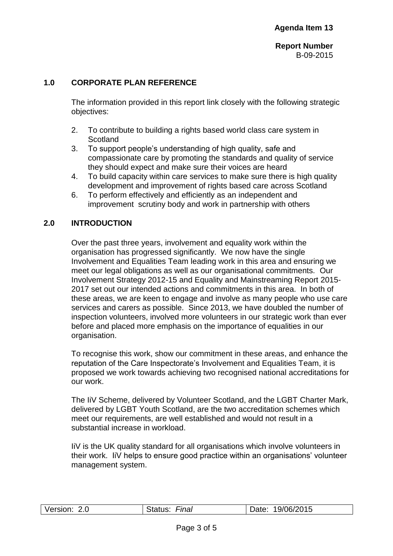### **1.0 CORPORATE PLAN REFERENCE**

The information provided in this report link closely with the following strategic objectives:

- 2. To contribute to building a rights based world class care system in **Scotland**
- 3. To support people's understanding of high quality, safe and compassionate care by promoting the standards and quality of service they should expect and make sure their voices are heard
- 4. To build capacity within care services to make sure there is high quality development and improvement of rights based care across Scotland
- 6. To perform effectively and efficiently as an independent and improvement scrutiny body and work in partnership with others

### **2.0 INTRODUCTION**

Over the past three years, involvement and equality work within the organisation has progressed significantly. We now have the single Involvement and Equalities Team leading work in this area and ensuring we meet our legal obligations as well as our organisational commitments. Our Involvement Strategy 2012-15 and Equality and Mainstreaming Report 2015- 2017 set out our intended actions and commitments in this area. In both of these areas, we are keen to engage and involve as many people who use care services and carers as possible. Since 2013, we have doubled the number of inspection volunteers, involved more volunteers in our strategic work than ever before and placed more emphasis on the importance of equalities in our organisation.

To recognise this work, show our commitment in these areas, and enhance the reputation of the Care Inspectorate's Involvement and Equalities Team, it is proposed we work towards achieving two recognised national accreditations for our work.

The IiV Scheme, delivered by Volunteer Scotland, and the LGBT Charter Mark, delivered by LGBT Youth Scotland, are the two accreditation schemes which meet our requirements, are well established and would not result in a substantial increase in workload.

IiV is the UK quality standard for all organisations which involve volunteers in their work. IiV helps to ensure good practice within an organisations' volunteer management system.

| Version: | Final   | 19/06/2015 |
|----------|---------|------------|
| 2.0      | 'iatus≾ | Jate:      |
|          |         |            |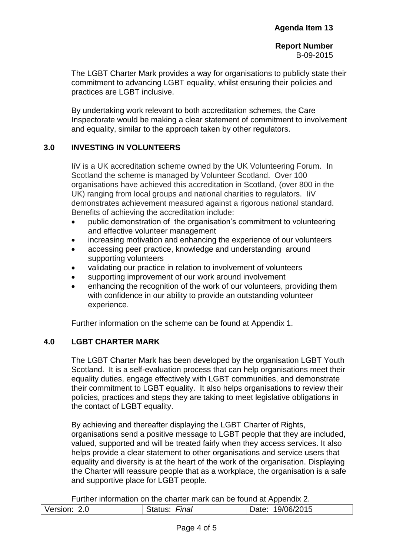The LGBT Charter Mark provides a way for organisations to publicly state their commitment to advancing LGBT equality, whilst ensuring their policies and practices are LGBT inclusive.

By undertaking work relevant to both accreditation schemes, the Care Inspectorate would be making a clear statement of commitment to involvement and equality, similar to the approach taken by other regulators.

#### **3.0 INVESTING IN VOLUNTEERS**

IiV is a UK accreditation scheme owned by the UK Volunteering Forum. In Scotland the scheme is managed by Volunteer Scotland. Over 100 organisations have achieved this accreditation in Scotland, (over 800 in the UK) ranging from local groups and national charities to regulators. IiV demonstrates achievement measured against a rigorous national standard. Benefits of achieving the accreditation include:

- public demonstration of the organisation's commitment to volunteering and effective volunteer management
- increasing motivation and enhancing the experience of our volunteers
- accessing peer practice, knowledge and understanding around supporting volunteers
- validating our practice in relation to involvement of volunteers
- supporting improvement of our work around involvement
- enhancing the recognition of the work of our volunteers, providing them with confidence in our ability to provide an outstanding volunteer experience.

Further information on the scheme can be found at Appendix 1.

#### **4.0 LGBT CHARTER MARK**

The LGBT Charter Mark has been developed by the organisation LGBT Youth Scotland. It is a self-evaluation process that can help organisations meet their equality duties, engage effectively with LGBT communities, and demonstrate their commitment to LGBT equality. It also helps organisations to review their policies, practices and steps they are taking to meet legislative obligations in the contact of LGBT equality.

By achieving and thereafter displaying the LGBT Charter of Rights, organisations send a positive message to LGBT people that they are included, valued, supported and will be treated fairly when they access services. It also helps provide a clear statement to other organisations and service users that equality and diversity is at the heart of the work of the organisation. Displaying the Charter will reassure people that as a workplace, the organisation is a safe and supportive place for LGBT people.

Further information on the charter mark can be found at Appendix 2.

| Version: 2.0 | Final<br>$-1101$ | 19/06/2015<br>Date: |
|--------------|------------------|---------------------|
|              |                  |                     |